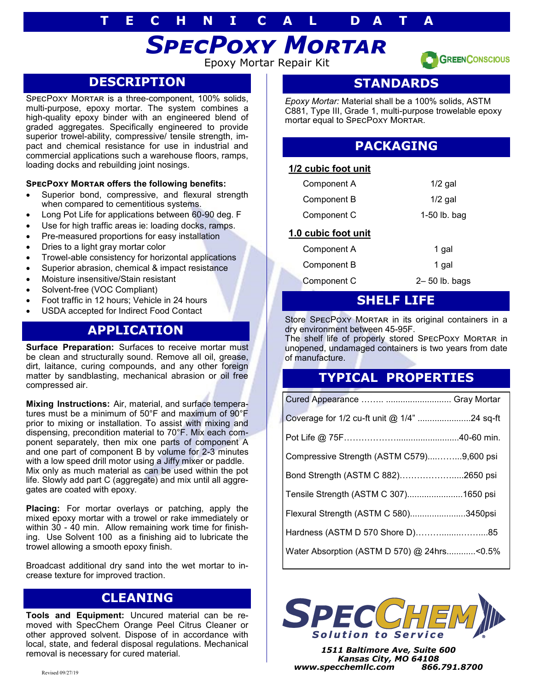# **T E C H N I C A L D A T A**

# *SpecPoxy Mortar*

Epoxy Mortar Repair Kit

### **DESCRIPTION**

SPECPOXY MORTAR is a three-component, 100% solids, multi-purpose, epoxy mortar. The system combines a high-quality epoxy binder with an engineered blend of graded aggregates. Specifically engineered to provide superior trowel-ability, compressive/ tensile strength, impact and chemical resistance for use in industrial and commercial applications such a warehouse floors, ramps, loading docks and rebuilding joint nosings.

#### **SpecPoxy Mortar offers the following benefits:**

- Superior bond, compressive, and flexural strength when compared to cementitious systems.
- Long Pot Life for applications between 60-90 deg. F
- Use for high traffic areas ie: loading docks, ramps.
- Pre-measured proportions for easy installation
- Dries to a light gray mortar color
- Trowel-able consistency for horizontal applications
- Superior abrasion, chemical & impact resistance
- Moisture insensitive/Stain resistant
- Solvent-free (VOC Compliant)
- Foot traffic in 12 hours; Vehicle in 24 hours
- USDA accepted for Indirect Food Contact

# **APPLICATION**

**Surface Preparation:** Surfaces to receive mortar must be clean and structurally sound. Remove all oil, grease, dirt, laitance, curing compounds, and any other foreign matter by sandblasting, mechanical abrasion or oil free compressed air.

**Mixing Instructions:** Air, material, and surface temperatures must be a minimum of 50°F and maximum of 90°F prior to mixing or installation. To assist with mixing and dispensing, precondition material to 70°F. Mix each component separately, then mix one parts of component A and one part of component B by volume for 2-3 minutes with a low speed drill motor using a Jiffy mixer or paddle. Mix only as much material as can be used within the pot life. Slowly add part C (aggregate) and mix until all aggregates are coated with epoxy.

**Placing:** For mortar overlays or patching, apply the mixed epoxy mortar with a trowel or rake immediately or within 30 - 40 min. Allow remaining work time for finishing. Use Solvent 100 as a finishing aid to lubricate the trowel allowing a smooth epoxy finish.

Broadcast additional dry sand into the wet mortar to increase texture for improved traction.

### **CLEANING**

**Tools and Equipment:** Uncured material can be removed with SpecChem Orange Peel Citrus Cleaner or other approved solvent. Dispose of in accordance with local, state, and federal disposal regulations. Mechanical removal is necessary for cured material.

### **STANDARDS**

**GREEN CONSCIOUS** 

*Epoxy Mortar:* Material shall be a 100% solids, ASTM C881, Type III, Grade 1, multi-purpose trowelable epoxy mortar equal to SPECPOXY MORTAR.

### **PACKAGING**

#### **1/2 cubic foot unit**

| 1.0 cubic foot unit |              |
|---------------------|--------------|
| Component C         | 1-50 lb. bag |
| Component B         | $1/2$ gal    |
| Component A         | $1/2$ gal    |

# Component A 1 gal Component B 1 gal Component C 2– 50 lb. bags

#### **SHELF LIFE**

Store SPECPOXY MORTAR in its original containers in a dry environment between 45-95F.

The shelf life of properly stored SPECPOXY MORTAR in unopened, undamaged containers is two years from date of manufacture.

# **TYPICAL PROPERTIES**

| Coverage for 1/2 cu-ft unit @ 1/4" 24 sq-ft |  |
|---------------------------------------------|--|
|                                             |  |
| Compressive Strength (ASTM C579)9,600 psi   |  |
| Bond Strength (ASTM C 882)2650 psi          |  |
| Tensile Strength (ASTM C 307)1650 psi       |  |
| Flexural Strength (ASTM C 580)3450psi       |  |
| Hardness (ASTM D 570 Shore D)85             |  |
| Water Absorption (ASTM D 570) @ 24hrs<0.5%  |  |



*1511 Baltimore Ave, Suite 600 Kansas City, MO 64108 www.specchemllc.com 866.791.8700*